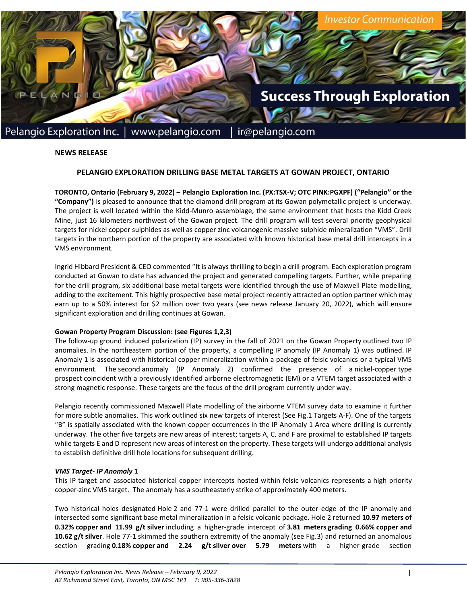

## **NEWS RELEASE**

# **PELANGIO EXPLORATION DRILLING BASE METAL TARGETS AT GOWAN PROJECT, ONTARIO**

**TORONTO, Ontario (February 9, 2022) – Pelangio Exploration Inc. (PX:TSX-V; OTC PINK:PGXPF) ("Pelangio" or the "Company")** is pleased to announce that the diamond drill program at its Gowan polymetallic project is underway. The project is well located within the Kidd-Munro assemblage, the same environment that hosts the Kidd Creek Mine, just 16 kilometers northwest of the Gowan project. The drill program will test several priority geophysical targets for nickel copper sulphides as well as copper zinc volcanogenic massive sulphide mineralization "VMS". Drill targets in the northern portion of the property are associated with known historical base metal drill intercepts in a VMS environment.

Ingrid Hibbard President & CEO commented "It is always thrilling to begin a drill program. Each exploration program conducted at Gowan to date has advanced the project and generated compelling targets. Further, while preparing for the drill program, six additional base metal targets were identified through the use of Maxwell Plate modelling, adding to the excitement. This highly prospective base metal project recently attracted an option partner which may earn up to a 50% interest for \$2 million over two years (see news release January 20, 2022), which will ensure significant exploration and drilling continues at Gowan.

## **Gowan Property Program Discussion: (see Figures 1,2,3)**

The follow-up ground induced polarization (IP) survey in the fall of 2021 on the Gowan Property outlined two IP anomalies. In the northeastern portion of the property, a compelling IP anomaly (IP Anomaly 1) was outlined. IP Anomaly 1 is associated with historical copper mineralization within a package of felsic volcanics or a typical VMS environment. The second anomaly (IP Anomaly 2) confirmed the presence of a nickel-copper type prospect coincident with a previously identified airborne electromagnetic (EM) or a VTEM target associated with a strong magnetic response. These targets are the focus of the drill program currently under way.

Pelangio recently commissioned Maxwell Plate modelling of the airborne VTEM survey data to examine it further for more subtle anomalies. This work outlined six new targets of interest (See Fig.1 Targets A-F). One of the targets "B" is spatially associated with the known copper occurrences in the IP Anomaly 1 Area where drilling is currently underway. The other five targets are new areas of interest; targets A, C, and F are proximal to established IP targets while targets E and D represent new areas of interest on the property. These targets will undergo additional analysis to establish definitive drill hole locations for subsequent drilling.

## *VMS Target- IP Anomaly* **1**

This IP target and associated historical copper intercepts hosted within felsic volcanics represents a high priority copper-zinc VMS target.  The anomaly has a southeasterly strike of approximately 400 meters.  

Two historical holes designated Hole 2 and 77-1 were drilled parallel to the outer edge of the IP anomaly and intersected some significant base metal mineralization in a felsic volcanic package. Hole 2 returned **10.97 meters of 0.32% copper and 11.99 g/t silver** including a higher-grade intercept of **3.81 meters grading 0.66% copper and 10.62 g/t silver**. Hole 77-1 skimmed the southern extremity of the anomaly (see Fig.3) and returned an anomalous section grading **0.18% copper and 2.24 g/t silver over 5.79 meters** with a higher-grade section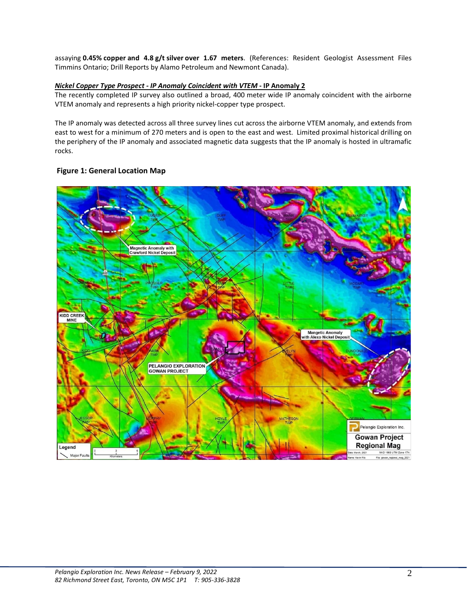assaying **0.45% copper and 4.8 g/t silver over 1.67 meters**. (References: Resident Geologist Assessment Files Timmins Ontario; Drill Reports by Alamo Petroleum and Newmont Canada).

# *Nickel Copper Type Prospect - IP Anomaly Coincident with VTEM* **- IP Anomaly 2**

The recently completed IP survey also outlined a broad, 400 meter wide IP anomaly coincident with the airborne VTEM anomaly and represents a high priority nickel-copper type prospect.

The IP anomaly was detected across all three survey lines cut across the airborne VTEM anomaly, and extends from east to west for a minimum of 270 meters and is open to the east and west. Limited proximal historical drilling on the periphery of the IP anomaly and associated magnetic data suggests that the IP anomaly is hosted in ultramafic rocks.

# **Figure 1: General Location Map**

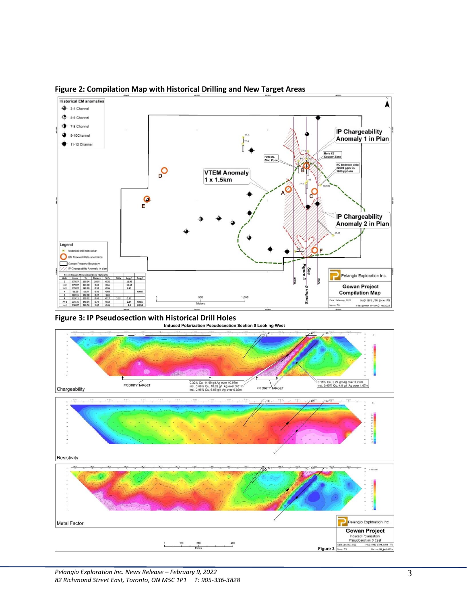

**Figure 2: Compilation Map with Historical Drilling and New Target Areas**